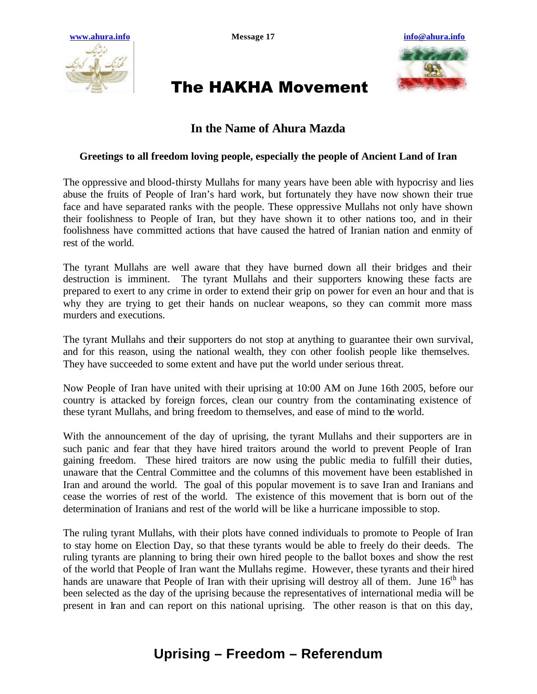



# The HAKHA Movement

### **In the Name of Ahura Mazda**

#### **Greetings to all freedom loving people, especially the people of Ancient Land of Iran**

The oppressive and blood-thirsty Mullahs for many years have been able with hypocrisy and lies abuse the fruits of People of Iran's hard work, but fortunately they have now shown their true face and have separated ranks with the people. These oppressive Mullahs not only have shown their foolishness to People of Iran, but they have shown it to other nations too, and in their foolishness have committed actions that have caused the hatred of Iranian nation and enmity of rest of the world.

The tyrant Mullahs are well aware that they have burned down all their bridges and their destruction is imminent. The tyrant Mullahs and their supporters knowing these facts are prepared to exert to any crime in order to extend their grip on power for even an hour and that is why they are trying to get their hands on nuclear weapons, so they can commit more mass murders and executions.

The tyrant Mullahs and their supporters do not stop at anything to guarantee their own survival, and for this reason, using the national wealth, they con other foolish people like themselves. They have succeeded to some extent and have put the world under serious threat.

Now People of Iran have united with their uprising at 10:00 AM on June 16th 2005, before our country is attacked by foreign forces, clean our country from the contaminating existence of these tyrant Mullahs, and bring freedom to themselves, and ease of mind to the world.

With the announcement of the day of uprising, the tyrant Mullahs and their supporters are in such panic and fear that they have hired traitors around the world to prevent People of Iran gaining freedom. These hired traitors are now using the public media to fulfill their duties, unaware that the Central Committee and the columns of this movement have been established in Iran and around the world. The goal of this popular movement is to save Iran and Iranians and cease the worries of rest of the world. The existence of this movement that is born out of the determination of Iranians and rest of the world will be like a hurricane impossible to stop.

The ruling tyrant Mullahs, with their plots have conned individuals to promote to People of Iran to stay home on Election Day, so that these tyrants would be able to freely do their deeds. The ruling tyrants are planning to bring their own hired people to the ballot boxes and show the rest of the world that People of Iran want the Mullahs regime. However, these tyrants and their hired hands are unaware that People of Iran with their uprising will destroy all of them. June  $16<sup>th</sup>$  has been selected as the day of the uprising because the representatives of international media will be present in Iran and can report on this national uprising. The other reason is that on this day,

### **Uprising – Freedom – Referendum**